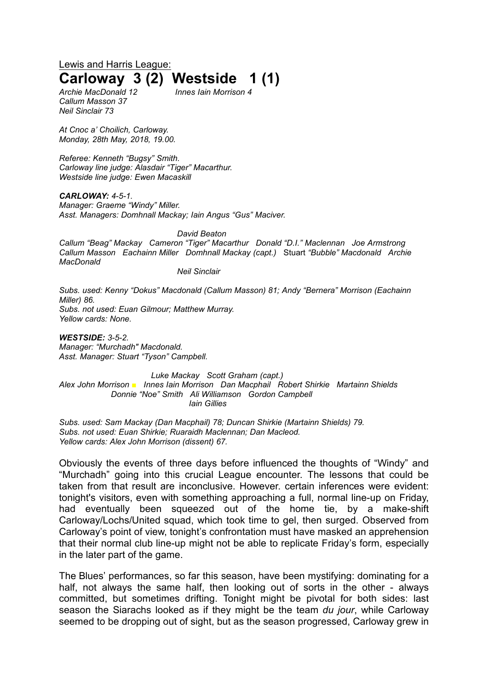Lewis and Harris League: **Carloway 3 (2) Westside 1 (1)**

*Callum Masson 37 Neil Sinclair 73*

*Archie MacDonald 12 Innes Iain Morrison 4*

*At Cnoc a' Choilich, Carloway. Monday, 28th May, 2018, 19.00.*

*Referee: Kenneth "Bugsy" Smith. Carloway line judge: Alasdair "Tiger" Macarthur. Westside line judge: Ewen Macaskill*

*CARLOWAY: 4-5-1. Manager: Graeme "Windy" Miller. Asst. Managers: Domhnall Mackay; Iain Angus "Gus" Maciver.*

*David Beaton Callum "Beag" Mackay Cameron "Tiger" Macarthur Donald "D.I." Maclennan Joe Armstrong Callum Masson Eachainn Miller Domhnall Mackay (capt.)* Stuart *"Bubble" Macdonald Archie MacDonald* 

*Neil Sinclair*

*Subs. used: Kenny "Dokus" Macdonald (Callum Masson) 81; Andy "Bernera" Morrison (Eachainn Miller) 86. Subs. not used: Euan Gilmour; Matthew Murray.*

*Yellow cards: None.*

*WESTSIDE: 3-5-2. Manager: "Murchadh" Macdonald. Asst. Manager: Stuart "Tyson" Campbell.*

*Luke Mackay Scott Graham (capt.) Alex John Morrison ■ Innes Iain Morrison Dan Macphail Robert Shirkie Martainn Shields Donnie "Noe" Smith Ali Williamson Gordon Campbell Iain Gillies*

*Subs. used: Sam Mackay (Dan Macphail) 78; Duncan Shirkie (Martainn Shields) 79. Subs. not used: Euan Shirkie; Ruaraidh Maclennan; Dan Macleod. Yellow cards: Alex John Morrison (dissent) 67.*

Obviously the events of three days before influenced the thoughts of "Windy" and "Murchadh" going into this crucial League encounter. The lessons that could be taken from that result are inconclusive. However. certain inferences were evident: tonight's visitors, even with something approaching a full, normal line-up on Friday, had eventually been squeezed out of the home tie, by a make-shift Carloway/Lochs/United squad, which took time to gel, then surged. Observed from Carloway's point of view, tonight's confrontation must have masked an apprehension that their normal club line-up might not be able to replicate Friday's form, especially in the later part of the game.

The Blues' performances, so far this season, have been mystifying: dominating for a half, not always the same half, then looking out of sorts in the other - always committed, but sometimes drifting. Tonight might be pivotal for both sides: last season the Siarachs looked as if they might be the team *du jour*, while Carloway seemed to be dropping out of sight, but as the season progressed, Carloway grew in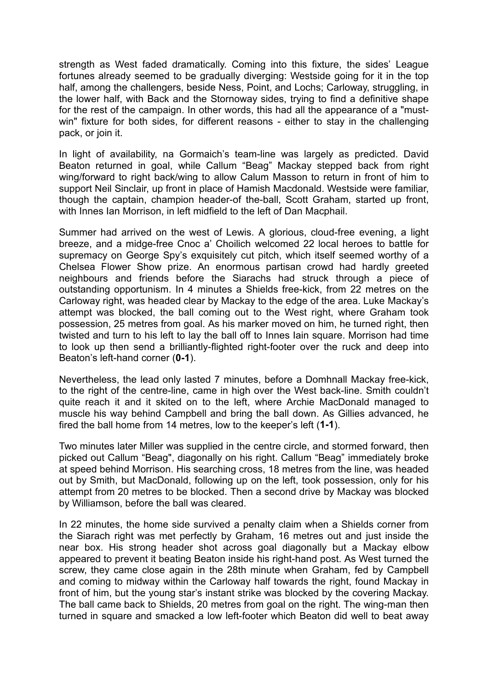strength as West faded dramatically. Coming into this fixture, the sides' League fortunes already seemed to be gradually diverging: Westside going for it in the top half, among the challengers, beside Ness, Point, and Lochs; Carloway, struggling, in the lower half, with Back and the Stornoway sides, trying to find a definitive shape for the rest of the campaign. In other words, this had all the appearance of a "mustwin" fixture for both sides, for different reasons - either to stay in the challenging pack, or join it.

In light of availability, na Gormaich's team-line was largely as predicted. David Beaton returned in goal, while Callum "Beag" Mackay stepped back from right wing/forward to right back/wing to allow Calum Masson to return in front of him to support Neil Sinclair, up front in place of Hamish Macdonald. Westside were familiar, though the captain, champion header-of the-ball, Scott Graham, started up front, with Innes Ian Morrison, in left midfield to the left of Dan Macphail.

Summer had arrived on the west of Lewis. A glorious, cloud-free evening, a light breeze, and a midge-free Cnoc a' Choilich welcomed 22 local heroes to battle for supremacy on George Spy's exquisitely cut pitch, which itself seemed worthy of a Chelsea Flower Show prize. An enormous partisan crowd had hardly greeted neighbours and friends before the Siarachs had struck through a piece of outstanding opportunism. In 4 minutes a Shields free-kick, from 22 metres on the Carloway right, was headed clear by Mackay to the edge of the area. Luke Mackay's attempt was blocked, the ball coming out to the West right, where Graham took possession, 25 metres from goal. As his marker moved on him, he turned right, then twisted and turn to his left to lay the ball off to Innes Iain square. Morrison had time to look up then send a brilliantly-flighted right-footer over the ruck and deep into Beaton's left-hand corner (**0-1**).

Nevertheless, the lead only lasted 7 minutes, before a Domhnall Mackay free-kick, to the right of the centre-line, came in high over the West back-line. Smith couldn't quite reach it and it skited on to the left, where Archie MacDonald managed to muscle his way behind Campbell and bring the ball down. As Gillies advanced, he fired the ball home from 14 metres, low to the keeper's left (**1-1**).

Two minutes later Miller was supplied in the centre circle, and stormed forward, then picked out Callum "Beag", diagonally on his right. Callum "Beag" immediately broke at speed behind Morrison. His searching cross, 18 metres from the line, was headed out by Smith, but MacDonald, following up on the left, took possession, only for his attempt from 20 metres to be blocked. Then a second drive by Mackay was blocked by Williamson, before the ball was cleared.

In 22 minutes, the home side survived a penalty claim when a Shields corner from the Siarach right was met perfectly by Graham, 16 metres out and just inside the near box. His strong header shot across goal diagonally but a Mackay elbow appeared to prevent it beating Beaton inside his right-hand post. As West turned the screw, they came close again in the 28th minute when Graham, fed by Campbell and coming to midway within the Carloway half towards the right, found Mackay in front of him, but the young star's instant strike was blocked by the covering Mackay. The ball came back to Shields, 20 metres from goal on the right. The wing-man then turned in square and smacked a low left-footer which Beaton did well to beat away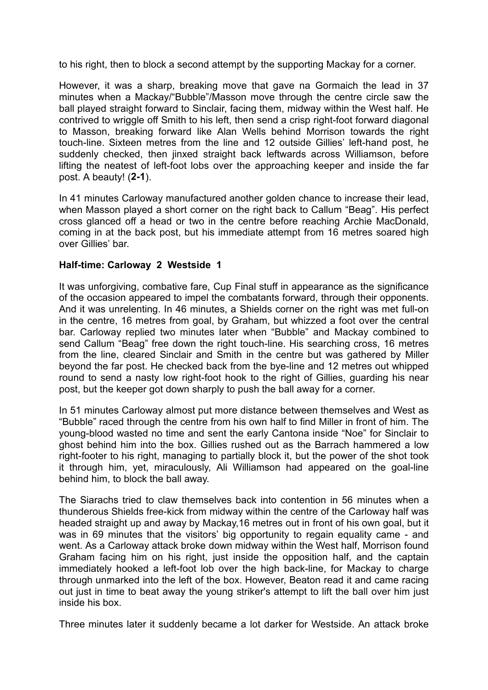to his right, then to block a second attempt by the supporting Mackay for a corner.

However, it was a sharp, breaking move that gave na Gormaich the lead in 37 minutes when a Mackay/"Bubble"/Masson move through the centre circle saw the ball played straight forward to Sinclair, facing them, midway within the West half. He contrived to wriggle off Smith to his left, then send a crisp right-foot forward diagonal to Masson, breaking forward like Alan Wells behind Morrison towards the right touch-line. Sixteen metres from the line and 12 outside Gillies' left-hand post, he suddenly checked, then jinxed straight back leftwards across Williamson, before lifting the neatest of left-foot lobs over the approaching keeper and inside the far post. A beauty! (**2-1**).

In 41 minutes Carloway manufactured another golden chance to increase their lead, when Masson played a short corner on the right back to Callum "Beag". His perfect cross glanced off a head or two in the centre before reaching Archie MacDonald, coming in at the back post, but his immediate attempt from 16 metres soared high over Gillies' bar.

## **Half-time: Carloway 2 Westside 1**

It was unforgiving, combative fare, Cup Final stuff in appearance as the significance of the occasion appeared to impel the combatants forward, through their opponents. And it was unrelenting. In 46 minutes, a Shields corner on the right was met full-on in the centre, 16 metres from goal, by Graham, but whizzed a foot over the central bar. Carloway replied two minutes later when "Bubble" and Mackay combined to send Callum "Beag" free down the right touch-line. His searching cross, 16 metres from the line, cleared Sinclair and Smith in the centre but was gathered by Miller beyond the far post. He checked back from the bye-line and 12 metres out whipped round to send a nasty low right-foot hook to the right of Gillies, guarding his near post, but the keeper got down sharply to push the ball away for a corner.

In 51 minutes Carloway almost put more distance between themselves and West as "Bubble" raced through the centre from his own half to find Miller in front of him. The young-blood wasted no time and sent the early Cantona inside "Noe" for Sinclair to ghost behind him into the box. Gillies rushed out as the Barrach hammered a low right-footer to his right, managing to partially block it, but the power of the shot took it through him, yet, miraculously, Ali Williamson had appeared on the goal-line behind him, to block the ball away.

The Siarachs tried to claw themselves back into contention in 56 minutes when a thunderous Shields free-kick from midway within the centre of the Carloway half was headed straight up and away by Mackay,16 metres out in front of his own goal, but it was in 69 minutes that the visitors' big opportunity to regain equality came - and went. As a Carloway attack broke down midway within the West half, Morrison found Graham facing him on his right, just inside the opposition half, and the captain immediately hooked a left-foot lob over the high back-line, for Mackay to charge through unmarked into the left of the box. However, Beaton read it and came racing out just in time to beat away the young striker's attempt to lift the ball over him just inside his box.

Three minutes later it suddenly became a lot darker for Westside. An attack broke